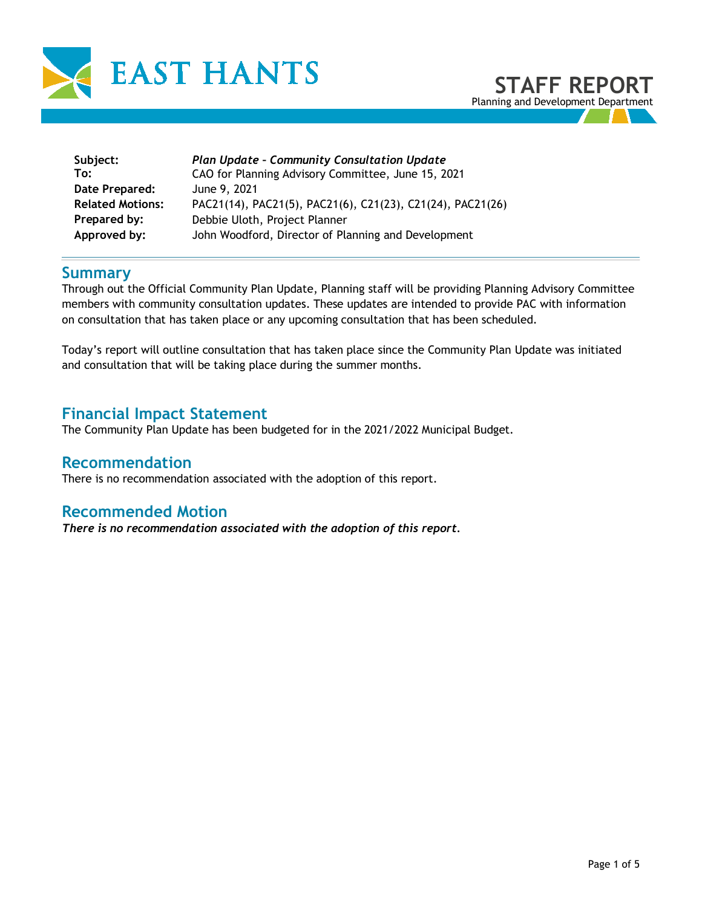

| Subject:<br>To:         | <b>Plan Update - Community Consultation Update</b><br>CAO for Planning Advisory Committee, June 15, 2021 |
|-------------------------|----------------------------------------------------------------------------------------------------------|
| Date Prepared:          | June 9, 2021                                                                                             |
| <b>Related Motions:</b> | PAC21(14), PAC21(5), PAC21(6), C21(23), C21(24), PAC21(26)                                               |
| Prepared by:            | Debbie Uloth, Project Planner                                                                            |
| Approved by:            | John Woodford, Director of Planning and Development                                                      |

## **Summary**

Through out the Official Community Plan Update, Planning staff will be providing Planning Advisory Committee members with community consultation updates. These updates are intended to provide PAC with information on consultation that has taken place or any upcoming consultation that has been scheduled.

Today's report will outline consultation that has taken place since the Community Plan Update was initiated and consultation that will be taking place during the summer months.

## **Financial Impact Statement**

The Community Plan Update has been budgeted for in the 2021/2022 Municipal Budget.

### **Recommendation**

There is no recommendation associated with the adoption of this report.

#### **Recommended Motion**

*There is no recommendation associated with the adoption of this report.*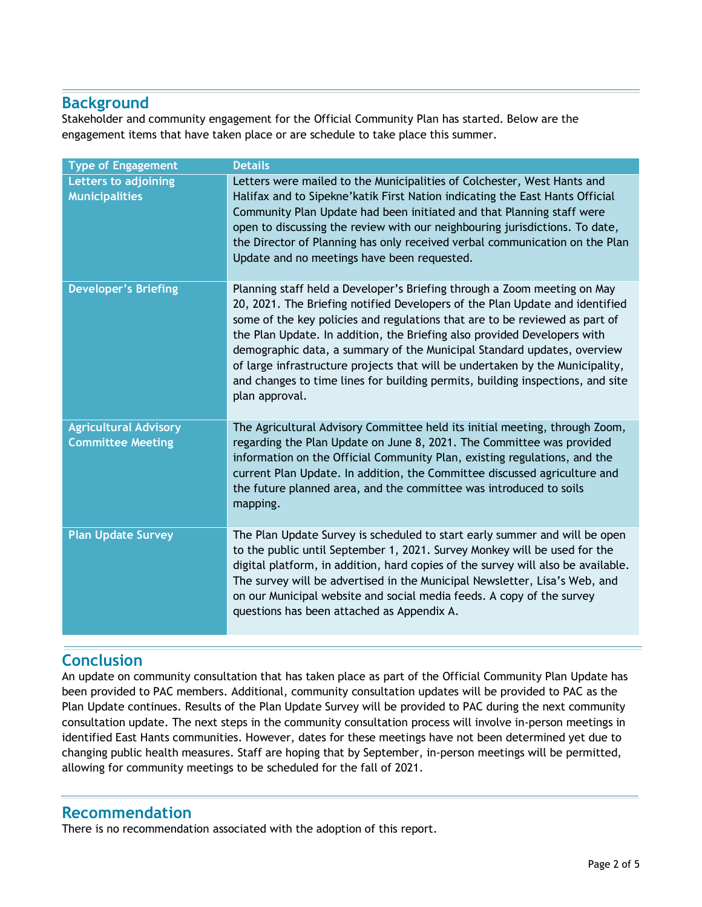# **Background**

Stakeholder and community engagement for the Official Community Plan has started. Below are the engagement items that have taken place or are schedule to take place this summer.

| <b>Type of Engagement</b>                                | <b>Details</b>                                                                                                                                                                                                                                                                                                                                                                                                                                                                                                                                                                      |
|----------------------------------------------------------|-------------------------------------------------------------------------------------------------------------------------------------------------------------------------------------------------------------------------------------------------------------------------------------------------------------------------------------------------------------------------------------------------------------------------------------------------------------------------------------------------------------------------------------------------------------------------------------|
| Letters to adjoining<br><b>Municipalities</b>            | Letters were mailed to the Municipalities of Colchester, West Hants and<br>Halifax and to Sipekne' katik First Nation indicating the East Hants Official<br>Community Plan Update had been initiated and that Planning staff were<br>open to discussing the review with our neighbouring jurisdictions. To date,<br>the Director of Planning has only received verbal communication on the Plan<br>Update and no meetings have been requested.                                                                                                                                      |
| <b>Developer's Briefing</b>                              | Planning staff held a Developer's Briefing through a Zoom meeting on May<br>20, 2021. The Briefing notified Developers of the Plan Update and identified<br>some of the key policies and regulations that are to be reviewed as part of<br>the Plan Update. In addition, the Briefing also provided Developers with<br>demographic data, a summary of the Municipal Standard updates, overview<br>of large infrastructure projects that will be undertaken by the Municipality,<br>and changes to time lines for building permits, building inspections, and site<br>plan approval. |
| <b>Agricultural Advisory</b><br><b>Committee Meeting</b> | The Agricultural Advisory Committee held its initial meeting, through Zoom,<br>regarding the Plan Update on June 8, 2021. The Committee was provided<br>information on the Official Community Plan, existing regulations, and the<br>current Plan Update. In addition, the Committee discussed agriculture and<br>the future planned area, and the committee was introduced to soils<br>mapping.                                                                                                                                                                                    |
| <b>Plan Update Survey</b>                                | The Plan Update Survey is scheduled to start early summer and will be open<br>to the public until September 1, 2021. Survey Monkey will be used for the<br>digital platform, in addition, hard copies of the survey will also be available.<br>The survey will be advertised in the Municipal Newsletter, Lisa's Web, and<br>on our Municipal website and social media feeds. A copy of the survey<br>questions has been attached as Appendix A.                                                                                                                                    |

# **Conclusion**

An update on community consultation that has taken place as part of the Official Community Plan Update has been provided to PAC members. Additional, community consultation updates will be provided to PAC as the Plan Update continues. Results of the Plan Update Survey will be provided to PAC during the next community consultation update. The next steps in the community consultation process will involve in-person meetings in identified East Hants communities. However, dates for these meetings have not been determined yet due to changing public health measures. Staff are hoping that by September, in-person meetings will be permitted, allowing for community meetings to be scheduled for the fall of 2021.

### **Recommendation**

There is no recommendation associated with the adoption of this report.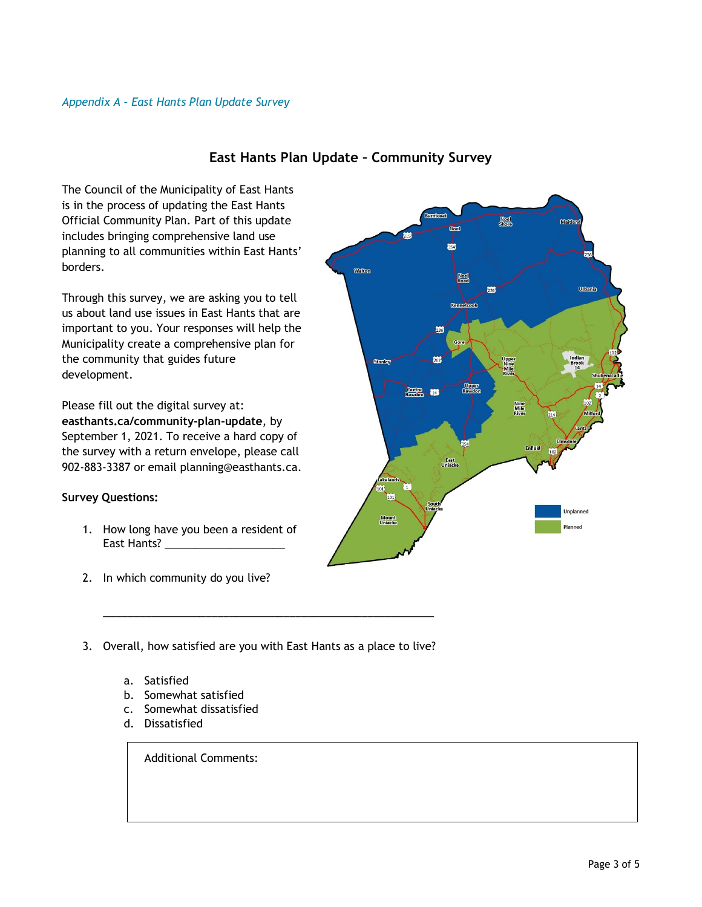

#### **East Hants Plan Update – Community Survey**

The Council of the Municipality of East Hants is in the process of updating the East Hants Official Community Plan. Part of this update includes bringing comprehensive land use planning to all communities within East Hants' borders.

Through this survey, we are asking you to tell us about land use issues in East Hants that are important to you. Your responses will help the Municipality create a comprehensive plan for the community that guides future development.

Please fill out the digital survey at: **easthants.ca/community-plan-update**, by September 1, 2021. To receive a hard copy of the survey with a return envelope, please call 902-883-3387 or email planning@easthants.ca.

#### **Survey Questions:**

- 1. How long have you been a resident of East Hants?
- 2. In which community do you live?
- 3. Overall, how satisfied are you with East Hants as a place to live?

\_\_\_\_\_\_\_\_\_\_\_\_\_\_\_\_\_\_\_\_\_\_\_\_\_\_\_\_\_\_\_\_\_\_\_\_\_\_\_\_\_\_\_\_\_\_\_\_\_\_\_\_\_\_\_

- a. Satisfied
- b. Somewhat satisfied
- c. Somewhat dissatisfied
- d. Dissatisfied

Additional Comments: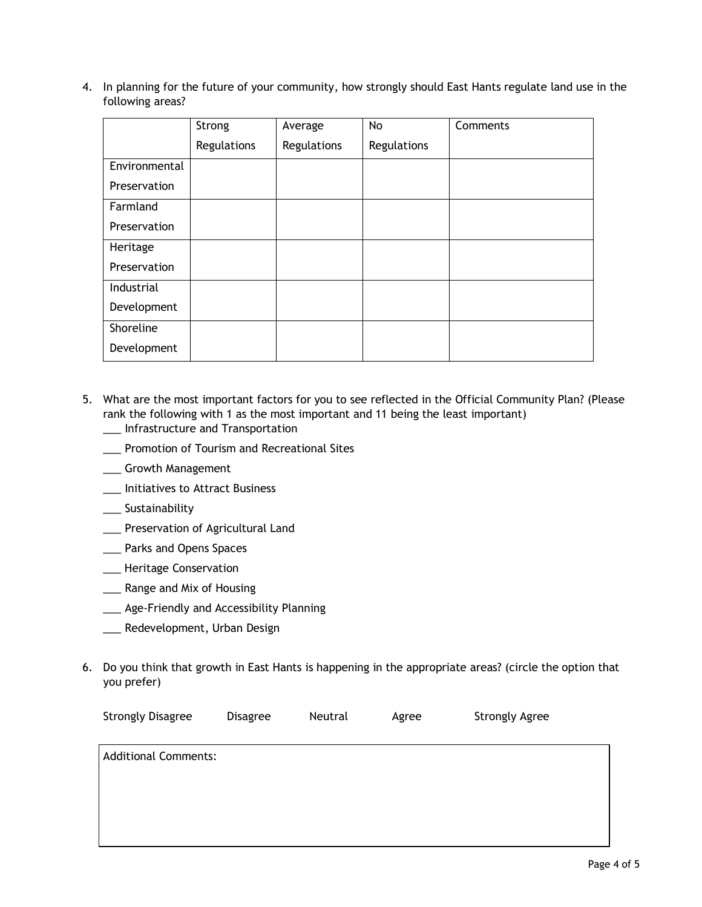4. In planning for the future of your community, how strongly should East Hants regulate land use in the following areas?

|               | Strong      | Average     | No          | Comments |
|---------------|-------------|-------------|-------------|----------|
|               | Regulations | Regulations | Regulations |          |
| Environmental |             |             |             |          |
| Preservation  |             |             |             |          |
| Farmland      |             |             |             |          |
| Preservation  |             |             |             |          |
| Heritage      |             |             |             |          |
| Preservation  |             |             |             |          |
| Industrial    |             |             |             |          |
| Development   |             |             |             |          |
| Shoreline     |             |             |             |          |
| Development   |             |             |             |          |

- 5. What are the most important factors for you to see reflected in the Official Community Plan? (Please rank the following with 1 as the most important and 11 being the least important)
	- \_\_\_ Infrastructure and Transportation
	- \_\_\_ Promotion of Tourism and Recreational Sites
	- \_\_\_ Growth Management
	- \_\_\_ Initiatives to Attract Business
	- \_\_\_ Sustainability
	- \_\_\_ Preservation of Agricultural Land
	- \_\_\_ Parks and Opens Spaces
	- \_\_\_ Heritage Conservation
	- \_\_\_ Range and Mix of Housing
	- \_\_\_ Age-Friendly and Accessibility Planning
	- \_\_\_ Redevelopment, Urban Design
- 6. Do you think that growth in East Hants is happening in the appropriate areas? (circle the option that you prefer)

| <b>Additional Comments:</b> |  |
|-----------------------------|--|